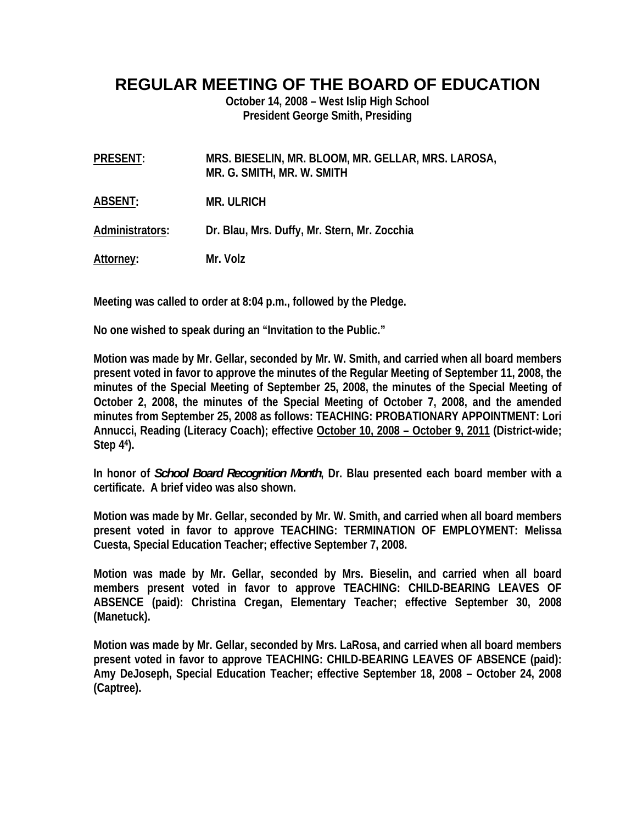## **REGULAR MEETING OF THE BOARD OF EDUCATION**

**October 14, 2008 – West Islip High School President George Smith, Presiding** 

| <b>PRESENT:</b> | MRS. BIESELIN, MR. BLOOM, MR. GELLAR, MRS. LAROSA,<br>MR. G. SMITH, MR. W. SMITH |
|-----------------|----------------------------------------------------------------------------------|
| ABSENT:         | <b>MR. ULRICH</b>                                                                |
| Administrators: | Dr. Blau, Mrs. Duffy, Mr. Stern, Mr. Zocchia                                     |
| Attorney:       | Mr. Volz                                                                         |

**Meeting was called to order at 8:04 p.m., followed by the Pledge.** 

**No one wished to speak during an "Invitation to the Public."** 

**Motion was made by Mr. Gellar, seconded by Mr. W. Smith, and carried when all board members present voted in favor to approve the minutes of the Regular Meeting of September 11, 2008, the minutes of the Special Meeting of September 25, 2008, the minutes of the Special Meeting of October 2, 2008, the minutes of the Special Meeting of October 7, 2008, and the amended minutes from September 25, 2008 as follows: TEACHING: PROBATIONARY APPOINTMENT: Lori Annucci, Reading (Literacy Coach); effective October 10, 2008 – October 9, 2011 (District-wide; Step 44).** 

**In honor of** *School Board Recognition Month***, Dr. Blau presented each board member with a certificate. A brief video was also shown.** 

**Motion was made by Mr. Gellar, seconded by Mr. W. Smith, and carried when all board members present voted in favor to approve TEACHING: TERMINATION OF EMPLOYMENT: Melissa Cuesta, Special Education Teacher; effective September 7, 2008.** 

**Motion was made by Mr. Gellar, seconded by Mrs. Bieselin, and carried when all board members present voted in favor to approve TEACHING: CHILD-BEARING LEAVES OF ABSENCE (paid): Christina Cregan, Elementary Teacher; effective September 30, 2008 (Manetuck).** 

**Motion was made by Mr. Gellar, seconded by Mrs. LaRosa, and carried when all board members present voted in favor to approve TEACHING: CHILD-BEARING LEAVES OF ABSENCE (paid): Amy DeJoseph, Special Education Teacher; effective September 18, 2008 – October 24, 2008 (Captree).**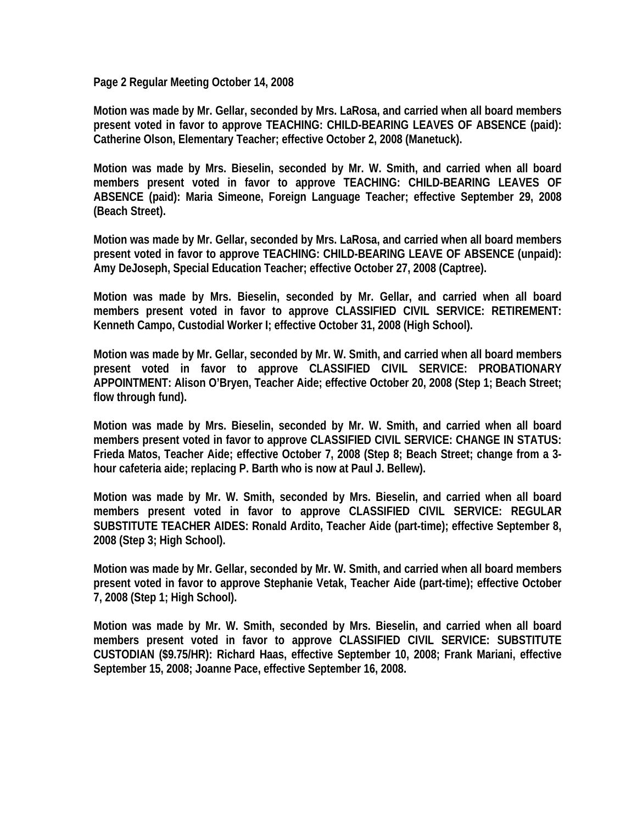**Page 2 Regular Meeting October 14, 2008** 

**Motion was made by Mr. Gellar, seconded by Mrs. LaRosa, and carried when all board members present voted in favor to approve TEACHING: CHILD-BEARING LEAVES OF ABSENCE (paid): Catherine Olson, Elementary Teacher; effective October 2, 2008 (Manetuck).** 

**Motion was made by Mrs. Bieselin, seconded by Mr. W. Smith, and carried when all board members present voted in favor to approve TEACHING: CHILD-BEARING LEAVES OF ABSENCE (paid): Maria Simeone, Foreign Language Teacher; effective September 29, 2008 (Beach Street).** 

**Motion was made by Mr. Gellar, seconded by Mrs. LaRosa, and carried when all board members present voted in favor to approve TEACHING: CHILD-BEARING LEAVE OF ABSENCE (unpaid): Amy DeJoseph, Special Education Teacher; effective October 27, 2008 (Captree).** 

**Motion was made by Mrs. Bieselin, seconded by Mr. Gellar, and carried when all board members present voted in favor to approve CLASSIFIED CIVIL SERVICE: RETIREMENT: Kenneth Campo, Custodial Worker I; effective October 31, 2008 (High School).** 

**Motion was made by Mr. Gellar, seconded by Mr. W. Smith, and carried when all board members present voted in favor to approve CLASSIFIED CIVIL SERVICE: PROBATIONARY APPOINTMENT: Alison O'Bryen, Teacher Aide; effective October 20, 2008 (Step 1; Beach Street; flow through fund).** 

**Motion was made by Mrs. Bieselin, seconded by Mr. W. Smith, and carried when all board members present voted in favor to approve CLASSIFIED CIVIL SERVICE: CHANGE IN STATUS: Frieda Matos, Teacher Aide; effective October 7, 2008 (Step 8; Beach Street; change from a 3 hour cafeteria aide; replacing P. Barth who is now at Paul J. Bellew).** 

**Motion was made by Mr. W. Smith, seconded by Mrs. Bieselin, and carried when all board members present voted in favor to approve CLASSIFIED CIVIL SERVICE: REGULAR SUBSTITUTE TEACHER AIDES: Ronald Ardito, Teacher Aide (part-time); effective September 8, 2008 (Step 3; High School).** 

**Motion was made by Mr. Gellar, seconded by Mr. W. Smith, and carried when all board members present voted in favor to approve Stephanie Vetak, Teacher Aide (part-time); effective October 7, 2008 (Step 1; High School).** 

**Motion was made by Mr. W. Smith, seconded by Mrs. Bieselin, and carried when all board members present voted in favor to approve CLASSIFIED CIVIL SERVICE: SUBSTITUTE CUSTODIAN (\$9.75/HR): Richard Haas, effective September 10, 2008; Frank Mariani, effective September 15, 2008; Joanne Pace, effective September 16, 2008.**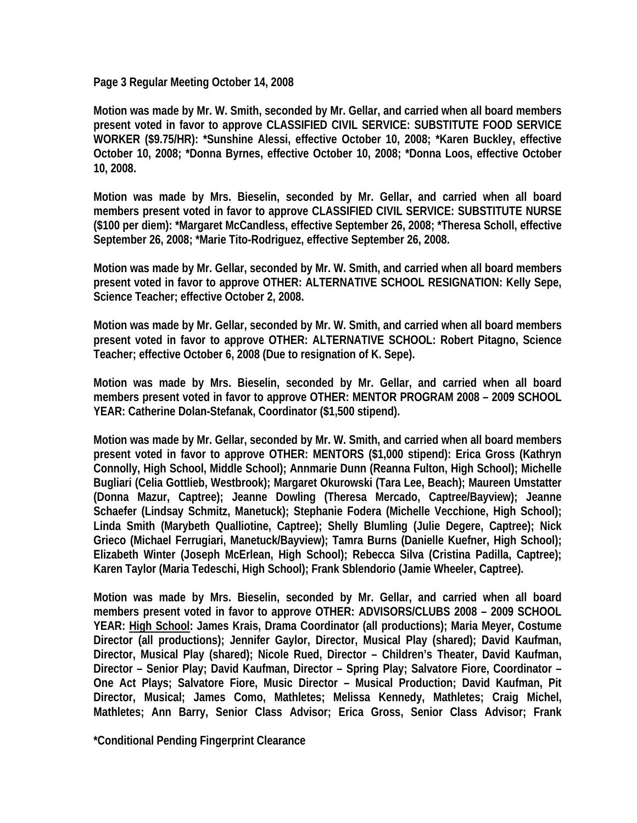**Page 3 Regular Meeting October 14, 2008** 

**Motion was made by Mr. W. Smith, seconded by Mr. Gellar, and carried when all board members present voted in favor to approve CLASSIFIED CIVIL SERVICE: SUBSTITUTE FOOD SERVICE WORKER (\$9.75/HR): \*Sunshine Alessi, effective October 10, 2008; \*Karen Buckley, effective October 10, 2008; \*Donna Byrnes, effective October 10, 2008; \*Donna Loos, effective October 10, 2008.** 

**Motion was made by Mrs. Bieselin, seconded by Mr. Gellar, and carried when all board members present voted in favor to approve CLASSIFIED CIVIL SERVICE: SUBSTITUTE NURSE (\$100 per diem): \*Margaret McCandless, effective September 26, 2008; \*Theresa Scholl, effective September 26, 2008; \*Marie Tito-Rodriguez, effective September 26, 2008.** 

**Motion was made by Mr. Gellar, seconded by Mr. W. Smith, and carried when all board members present voted in favor to approve OTHER: ALTERNATIVE SCHOOL RESIGNATION: Kelly Sepe, Science Teacher; effective October 2, 2008.** 

**Motion was made by Mr. Gellar, seconded by Mr. W. Smith, and carried when all board members present voted in favor to approve OTHER: ALTERNATIVE SCHOOL: Robert Pitagno, Science Teacher; effective October 6, 2008 (Due to resignation of K. Sepe).** 

**Motion was made by Mrs. Bieselin, seconded by Mr. Gellar, and carried when all board members present voted in favor to approve OTHER: MENTOR PROGRAM 2008 – 2009 SCHOOL YEAR: Catherine Dolan-Stefanak, Coordinator (\$1,500 stipend).** 

**Motion was made by Mr. Gellar, seconded by Mr. W. Smith, and carried when all board members present voted in favor to approve OTHER: MENTORS (\$1,000 stipend): Erica Gross (Kathryn Connolly, High School, Middle School); Annmarie Dunn (Reanna Fulton, High School); Michelle Bugliari (Celia Gottlieb, Westbrook); Margaret Okurowski (Tara Lee, Beach); Maureen Umstatter (Donna Mazur, Captree); Jeanne Dowling (Theresa Mercado, Captree/Bayview); Jeanne Schaefer (Lindsay Schmitz, Manetuck); Stephanie Fodera (Michelle Vecchione, High School); Linda Smith (Marybeth Qualliotine, Captree); Shelly Blumling (Julie Degere, Captree); Nick Grieco (Michael Ferrugiari, Manetuck/Bayview); Tamra Burns (Danielle Kuefner, High School); Elizabeth Winter (Joseph McErlean, High School); Rebecca Silva (Cristina Padilla, Captree); Karen Taylor (Maria Tedeschi, High School); Frank Sblendorio (Jamie Wheeler, Captree).** 

**Motion was made by Mrs. Bieselin, seconded by Mr. Gellar, and carried when all board members present voted in favor to approve OTHER: ADVISORS/CLUBS 2008 – 2009 SCHOOL YEAR: High School: James Krais, Drama Coordinator (all productions); Maria Meyer, Costume Director (all productions); Jennifer Gaylor, Director, Musical Play (shared); David Kaufman, Director, Musical Play (shared); Nicole Rued, Director – Children's Theater, David Kaufman, Director – Senior Play; David Kaufman, Director – Spring Play; Salvatore Fiore, Coordinator – One Act Plays; Salvatore Fiore, Music Director – Musical Production; David Kaufman, Pit Director, Musical; James Como, Mathletes; Melissa Kennedy, Mathletes; Craig Michel, Mathletes; Ann Barry, Senior Class Advisor; Erica Gross, Senior Class Advisor; Frank** 

**\*Conditional Pending Fingerprint Clearance**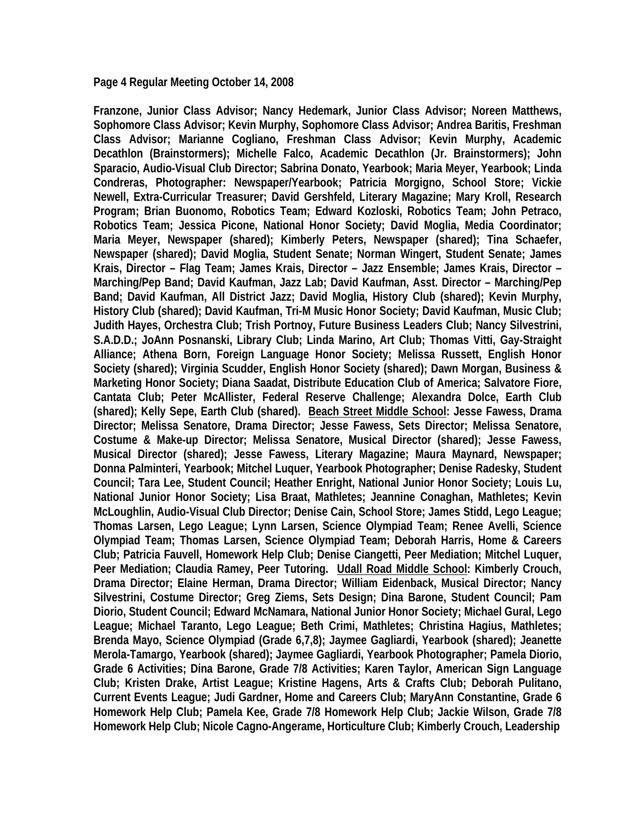**Page 4 Regular Meeting October 14, 2008** 

**Franzone, Junior Class Advisor; Nancy Hedemark, Junior Class Advisor; Noreen Matthews, Sophomore Class Advisor; Kevin Murphy, Sophomore Class Advisor; Andrea Baritis, Freshman Class Advisor; Marianne Cogliano, Freshman Class Advisor; Kevin Murphy, Academic Decathlon (Brainstormers); Michelle Falco, Academic Decathlon (Jr. Brainstormers); John Sparacio, Audio-Visual Club Director; Sabrina Donato, Yearbook; Maria Meyer, Yearbook; Linda Condreras, Photographer: Newspaper/Yearbook; Patricia Morgigno, School Store; Vickie Newell, Extra-Curricular Treasurer; David Gershfeld, Literary Magazine; Mary Kroll, Research Program; Brian Buonomo, Robotics Team; Edward Kozloski, Robotics Team; John Petraco, Robotics Team; Jessica Picone, National Honor Society; David Moglia, Media Coordinator; Maria Meyer, Newspaper (shared); Kimberly Peters, Newspaper (shared); Tina Schaefer, Newspaper (shared); David Moglia, Student Senate; Norman Wingert, Student Senate; James Krais, Director – Flag Team; James Krais, Director – Jazz Ensemble; James Krais, Director – Marching/Pep Band; David Kaufman, Jazz Lab; David Kaufman, Asst. Director – Marching/Pep Band; David Kaufman, All District Jazz; David Moglia, History Club (shared); Kevin Murphy, History Club (shared); David Kaufman, Tri-M Music Honor Society; David Kaufman, Music Club; Judith Hayes, Orchestra Club; Trish Portnoy, Future Business Leaders Club; Nancy Silvestrini, S.A.D.D.; JoAnn Posnanski, Library Club; Linda Marino, Art Club; Thomas Vitti, Gay-Straight Alliance; Athena Born, Foreign Language Honor Society; Melissa Russett, English Honor Society (shared); Virginia Scudder, English Honor Society (shared); Dawn Morgan, Business & Marketing Honor Society; Diana Saadat, Distribute Education Club of America; Salvatore Fiore, Cantata Club; Peter McAllister, Federal Reserve Challenge; Alexandra Dolce, Earth Club (shared); Kelly Sepe, Earth Club (shared). Beach Street Middle School: Jesse Fawess, Drama Director; Melissa Senatore, Drama Director; Jesse Fawess, Sets Director; Melissa Senatore, Costume & Make-up Director; Melissa Senatore, Musical Director (shared); Jesse Fawess, Musical Director (shared); Jesse Fawess, Literary Magazine; Maura Maynard, Newspaper; Donna Palminteri, Yearbook; Mitchel Luquer, Yearbook Photographer; Denise Radesky, Student Council; Tara Lee, Student Council; Heather Enright, National Junior Honor Society; Louis Lu, National Junior Honor Society; Lisa Braat, Mathletes; Jeannine Conaghan, Mathletes; Kevin McLoughlin, Audio-Visual Club Director; Denise Cain, School Store; James Stidd, Lego League; Thomas Larsen, Lego League; Lynn Larsen, Science Olympiad Team; Renee Avelli, Science Olympiad Team; Thomas Larsen, Science Olympiad Team; Deborah Harris, Home & Careers Club; Patricia Fauvell, Homework Help Club; Denise Ciangetti, Peer Mediation; Mitchel Luquer, Peer Mediation; Claudia Ramey, Peer Tutoring. Udall Road Middle School: Kimberly Crouch, Drama Director; Elaine Herman, Drama Director; William Eidenback, Musical Director; Nancy Silvestrini, Costume Director; Greg Ziems, Sets Design; Dina Barone, Student Council; Pam Diorio, Student Council; Edward McNamara, National Junior Honor Society; Michael Gural, Lego League; Michael Taranto, Lego League; Beth Crimi, Mathletes; Christina Hagius, Mathletes; Brenda Mayo, Science Olympiad (Grade 6,7,8); Jaymee Gagliardi, Yearbook (shared); Jeanette Merola-Tamargo, Yearbook (shared); Jaymee Gagliardi, Yearbook Photographer; Pamela Diorio, Grade 6 Activities; Dina Barone, Grade 7/8 Activities; Karen Taylor, American Sign Language Club; Kristen Drake, Artist League; Kristine Hagens, Arts & Crafts Club; Deborah Pulitano, Current Events League; Judi Gardner, Home and Careers Club; MaryAnn Constantine, Grade 6 Homework Help Club; Pamela Kee, Grade 7/8 Homework Help Club; Jackie Wilson, Grade 7/8 Homework Help Club; Nicole Cagno-Angerame, Horticulture Club; Kimberly Crouch, Leadership**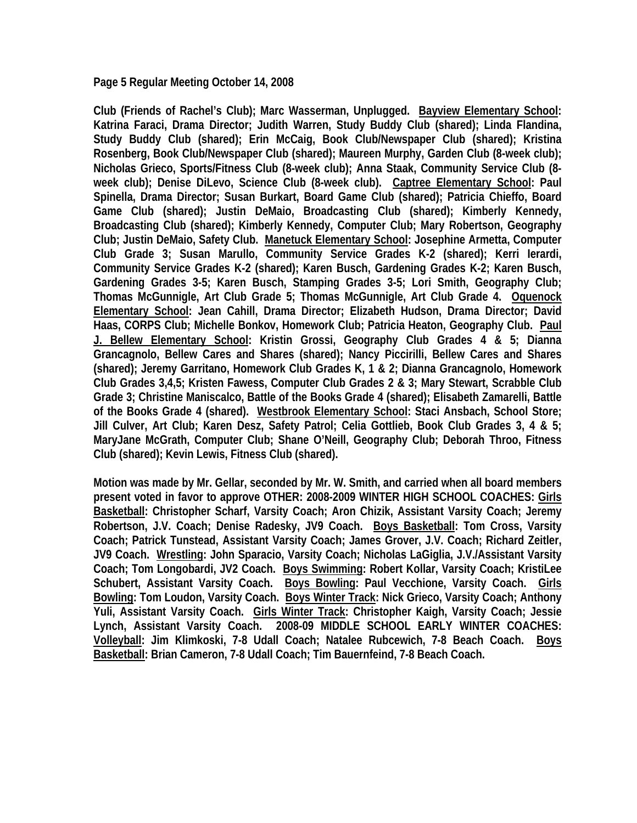**Page 5 Regular Meeting October 14, 2008** 

**Club (Friends of Rachel's Club); Marc Wasserman, Unplugged. Bayview Elementary School: Katrina Faraci, Drama Director; Judith Warren, Study Buddy Club (shared); Linda Flandina, Study Buddy Club (shared); Erin McCaig, Book Club/Newspaper Club (shared); Kristina Rosenberg, Book Club/Newspaper Club (shared); Maureen Murphy, Garden Club (8-week club); Nicholas Grieco, Sports/Fitness Club (8-week club); Anna Staak, Community Service Club (8 week club); Denise DiLevo, Science Club (8-week club). Captree Elementary School: Paul Spinella, Drama Director; Susan Burkart, Board Game Club (shared); Patricia Chieffo, Board Game Club (shared); Justin DeMaio, Broadcasting Club (shared); Kimberly Kennedy, Broadcasting Club (shared); Kimberly Kennedy, Computer Club; Mary Robertson, Geography Club; Justin DeMaio, Safety Club. Manetuck Elementary School: Josephine Armetta, Computer Club Grade 3; Susan Marullo, Community Service Grades K-2 (shared); Kerri Ierardi, Community Service Grades K-2 (shared); Karen Busch, Gardening Grades K-2; Karen Busch, Gardening Grades 3-5; Karen Busch, Stamping Grades 3-5; Lori Smith, Geography Club; Thomas McGunnigle, Art Club Grade 5; Thomas McGunnigle, Art Club Grade 4. Oquenock Elementary School: Jean Cahill, Drama Director; Elizabeth Hudson, Drama Director; David Haas, CORPS Club; Michelle Bonkov, Homework Club; Patricia Heaton, Geography Club. Paul J. Bellew Elementary School: Kristin Grossi, Geography Club Grades 4 & 5; Dianna Grancagnolo, Bellew Cares and Shares (shared); Nancy Piccirilli, Bellew Cares and Shares (shared); Jeremy Garritano, Homework Club Grades K, 1 & 2; Dianna Grancagnolo, Homework Club Grades 3,4,5; Kristen Fawess, Computer Club Grades 2 & 3; Mary Stewart, Scrabble Club Grade 3; Christine Maniscalco, Battle of the Books Grade 4 (shared); Elisabeth Zamarelli, Battle of the Books Grade 4 (shared). Westbrook Elementary School: Staci Ansbach, School Store; Jill Culver, Art Club; Karen Desz, Safety Patrol; Celia Gottlieb, Book Club Grades 3, 4 & 5; MaryJane McGrath, Computer Club; Shane O'Neill, Geography Club; Deborah Throo, Fitness Club (shared); Kevin Lewis, Fitness Club (shared).** 

**Motion was made by Mr. Gellar, seconded by Mr. W. Smith, and carried when all board members present voted in favor to approve OTHER: 2008-2009 WINTER HIGH SCHOOL COACHES: Girls Basketball: Christopher Scharf, Varsity Coach; Aron Chizik, Assistant Varsity Coach; Jeremy Robertson, J.V. Coach; Denise Radesky, JV9 Coach. Boys Basketball: Tom Cross, Varsity Coach; Patrick Tunstead, Assistant Varsity Coach; James Grover, J.V. Coach; Richard Zeitler, JV9 Coach. Wrestling: John Sparacio, Varsity Coach; Nicholas LaGiglia, J.V./Assistant Varsity Coach; Tom Longobardi, JV2 Coach. Boys Swimming: Robert Kollar, Varsity Coach; KristiLee Schubert, Assistant Varsity Coach. Boys Bowling: Paul Vecchione, Varsity Coach. Girls Bowling: Tom Loudon, Varsity Coach. Boys Winter Track: Nick Grieco, Varsity Coach; Anthony Yuli, Assistant Varsity Coach. Girls Winter Track: Christopher Kaigh, Varsity Coach; Jessie Lynch, Assistant Varsity Coach. 2008-09 MIDDLE SCHOOL EARLY WINTER COACHES: Volleyball: Jim Klimkoski, 7-8 Udall Coach; Natalee Rubcewich, 7-8 Beach Coach. Boys Basketball: Brian Cameron, 7-8 Udall Coach; Tim Bauernfeind, 7-8 Beach Coach.**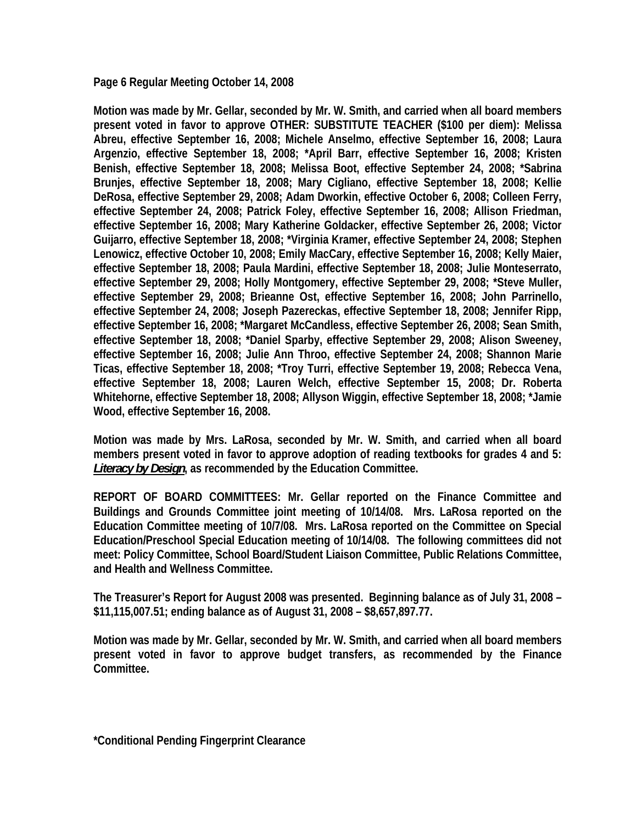**Page 6 Regular Meeting October 14, 2008** 

**Motion was made by Mr. Gellar, seconded by Mr. W. Smith, and carried when all board members present voted in favor to approve OTHER: SUBSTITUTE TEACHER (\$100 per diem): Melissa Abreu, effective September 16, 2008; Michele Anselmo, effective September 16, 2008; Laura Argenzio, effective September 18, 2008; \*April Barr, effective September 16, 2008; Kristen Benish, effective September 18, 2008; Melissa Boot, effective September 24, 2008; \*Sabrina Brunjes, effective September 18, 2008; Mary Cigliano, effective September 18, 2008; Kellie DeRosa, effective September 29, 2008; Adam Dworkin, effective October 6, 2008; Colleen Ferry, effective September 24, 2008; Patrick Foley, effective September 16, 2008; Allison Friedman, effective September 16, 2008; Mary Katherine Goldacker, effective September 26, 2008; Victor Guijarro, effective September 18, 2008; \*Virginia Kramer, effective September 24, 2008; Stephen Lenowicz, effective October 10, 2008; Emily MacCary, effective September 16, 2008; Kelly Maier, effective September 18, 2008; Paula Mardini, effective September 18, 2008; Julie Monteserrato, effective September 29, 2008; Holly Montgomery, effective September 29, 2008; \*Steve Muller, effective September 29, 2008; Brieanne Ost, effective September 16, 2008; John Parrinello, effective September 24, 2008; Joseph Pazereckas, effective September 18, 2008; Jennifer Ripp, effective September 16, 2008; \*Margaret McCandless, effective September 26, 2008; Sean Smith, effective September 18, 2008; \*Daniel Sparby, effective September 29, 2008; Alison Sweeney, effective September 16, 2008; Julie Ann Throo, effective September 24, 2008; Shannon Marie Ticas, effective September 18, 2008; \*Troy Turri, effective September 19, 2008; Rebecca Vena, effective September 18, 2008; Lauren Welch, effective September 15, 2008; Dr. Roberta Whitehorne, effective September 18, 2008; Allyson Wiggin, effective September 18, 2008; \*Jamie Wood, effective September 16, 2008.** 

**Motion was made by Mrs. LaRosa, seconded by Mr. W. Smith, and carried when all board members present voted in favor to approve adoption of reading textbooks for grades 4 and 5:**  *Literacy by Design***, as recommended by the Education Committee.** 

**REPORT OF BOARD COMMITTEES: Mr. Gellar reported on the Finance Committee and Buildings and Grounds Committee joint meeting of 10/14/08. Mrs. LaRosa reported on the Education Committee meeting of 10/7/08. Mrs. LaRosa reported on the Committee on Special Education/Preschool Special Education meeting of 10/14/08. The following committees did not meet: Policy Committee, School Board/Student Liaison Committee, Public Relations Committee, and Health and Wellness Committee.** 

**The Treasurer's Report for August 2008 was presented. Beginning balance as of July 31, 2008 – \$11,115,007.51; ending balance as of August 31, 2008 – \$8,657,897.77.** 

**Motion was made by Mr. Gellar, seconded by Mr. W. Smith, and carried when all board members present voted in favor to approve budget transfers, as recommended by the Finance Committee.** 

**\*Conditional Pending Fingerprint Clearance**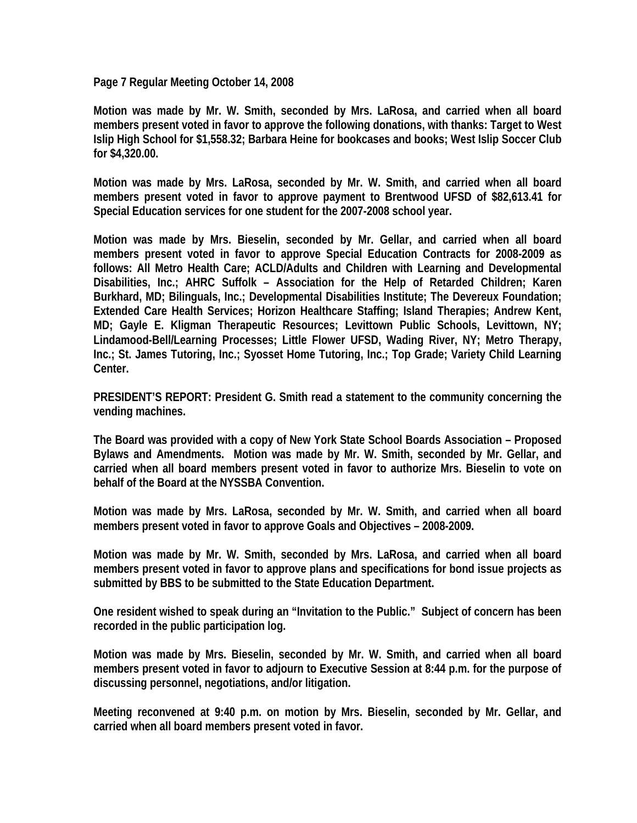**Page 7 Regular Meeting October 14, 2008** 

**Motion was made by Mr. W. Smith, seconded by Mrs. LaRosa, and carried when all board members present voted in favor to approve the following donations, with thanks: Target to West Islip High School for \$1,558.32; Barbara Heine for bookcases and books; West Islip Soccer Club for \$4,320.00.** 

**Motion was made by Mrs. LaRosa, seconded by Mr. W. Smith, and carried when all board members present voted in favor to approve payment to Brentwood UFSD of \$82,613.41 for Special Education services for one student for the 2007-2008 school year.** 

**Motion was made by Mrs. Bieselin, seconded by Mr. Gellar, and carried when all board members present voted in favor to approve Special Education Contracts for 2008-2009 as follows: All Metro Health Care; ACLD/Adults and Children with Learning and Developmental Disabilities, Inc.; AHRC Suffolk – Association for the Help of Retarded Children; Karen Burkhard, MD; Bilinguals, Inc.; Developmental Disabilities Institute; The Devereux Foundation; Extended Care Health Services; Horizon Healthcare Staffing; Island Therapies; Andrew Kent, MD; Gayle E. Kligman Therapeutic Resources; Levittown Public Schools, Levittown, NY; Lindamood-Bell/Learning Processes; Little Flower UFSD, Wading River, NY; Metro Therapy, Inc.; St. James Tutoring, Inc.; Syosset Home Tutoring, Inc.; Top Grade; Variety Child Learning Center.** 

**PRESIDENT'S REPORT: President G. Smith read a statement to the community concerning the vending machines.** 

**The Board was provided with a copy of New York State School Boards Association – Proposed Bylaws and Amendments. Motion was made by Mr. W. Smith, seconded by Mr. Gellar, and carried when all board members present voted in favor to authorize Mrs. Bieselin to vote on behalf of the Board at the NYSSBA Convention.** 

**Motion was made by Mrs. LaRosa, seconded by Mr. W. Smith, and carried when all board members present voted in favor to approve Goals and Objectives – 2008-2009.** 

**Motion was made by Mr. W. Smith, seconded by Mrs. LaRosa, and carried when all board members present voted in favor to approve plans and specifications for bond issue projects as submitted by BBS to be submitted to the State Education Department.** 

**One resident wished to speak during an "Invitation to the Public." Subject of concern has been recorded in the public participation log.** 

**Motion was made by Mrs. Bieselin, seconded by Mr. W. Smith, and carried when all board members present voted in favor to adjourn to Executive Session at 8:44 p.m. for the purpose of discussing personnel, negotiations, and/or litigation.** 

**Meeting reconvened at 9:40 p.m. on motion by Mrs. Bieselin, seconded by Mr. Gellar, and carried when all board members present voted in favor.**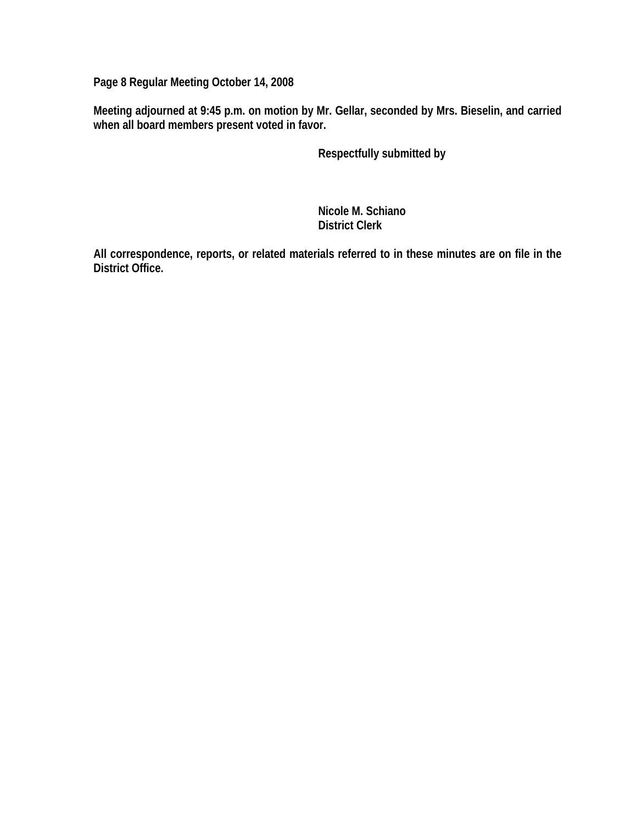**Page 8 Regular Meeting October 14, 2008** 

**Meeting adjourned at 9:45 p.m. on motion by Mr. Gellar, seconded by Mrs. Bieselin, and carried when all board members present voted in favor.** 

 **Respectfully submitted by** 

 **Nicole M. Schiano District Clerk** 

**All correspondence, reports, or related materials referred to in these minutes are on file in the District Office.**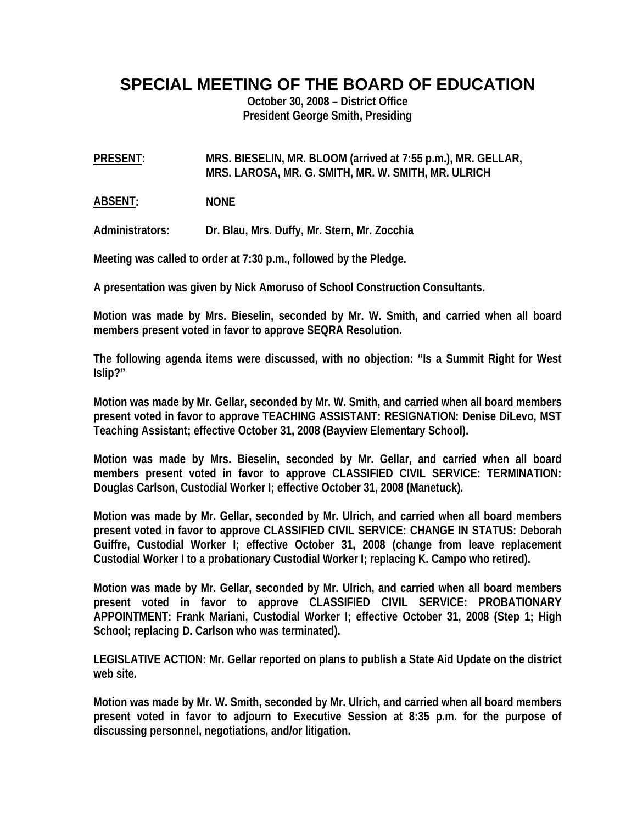**SPECIAL MEETING OF THE BOARD OF EDUCATION** 

**October 30, 2008 – District Office President George Smith, Presiding** 

**PRESENT: MRS. BIESELIN, MR. BLOOM (arrived at 7:55 p.m.), MR. GELLAR, MRS. LAROSA, MR. G. SMITH, MR. W. SMITH, MR. ULRICH** 

**ABSENT: NONE** 

**Administrators: Dr. Blau, Mrs. Duffy, Mr. Stern, Mr. Zocchia** 

**Meeting was called to order at 7:30 p.m., followed by the Pledge.** 

**A presentation was given by Nick Amoruso of School Construction Consultants.** 

**Motion was made by Mrs. Bieselin, seconded by Mr. W. Smith, and carried when all board members present voted in favor to approve SEQRA Resolution.** 

**The following agenda items were discussed, with no objection: "Is a Summit Right for West Islip?"** 

**Motion was made by Mr. Gellar, seconded by Mr. W. Smith, and carried when all board members present voted in favor to approve TEACHING ASSISTANT: RESIGNATION: Denise DiLevo, MST Teaching Assistant; effective October 31, 2008 (Bayview Elementary School).** 

**Motion was made by Mrs. Bieselin, seconded by Mr. Gellar, and carried when all board members present voted in favor to approve CLASSIFIED CIVIL SERVICE: TERMINATION: Douglas Carlson, Custodial Worker I; effective October 31, 2008 (Manetuck).** 

**Motion was made by Mr. Gellar, seconded by Mr. Ulrich, and carried when all board members present voted in favor to approve CLASSIFIED CIVIL SERVICE: CHANGE IN STATUS: Deborah Guiffre, Custodial Worker I; effective October 31, 2008 (change from leave replacement Custodial Worker I to a probationary Custodial Worker I; replacing K. Campo who retired).** 

**Motion was made by Mr. Gellar, seconded by Mr. Ulrich, and carried when all board members present voted in favor to approve CLASSIFIED CIVIL SERVICE: PROBATIONARY APPOINTMENT: Frank Mariani, Custodial Worker I; effective October 31, 2008 (Step 1; High School; replacing D. Carlson who was terminated).** 

**LEGISLATIVE ACTION: Mr. Gellar reported on plans to publish a State Aid Update on the district web site.** 

**Motion was made by Mr. W. Smith, seconded by Mr. Ulrich, and carried when all board members present voted in favor to adjourn to Executive Session at 8:35 p.m. for the purpose of discussing personnel, negotiations, and/or litigation.**